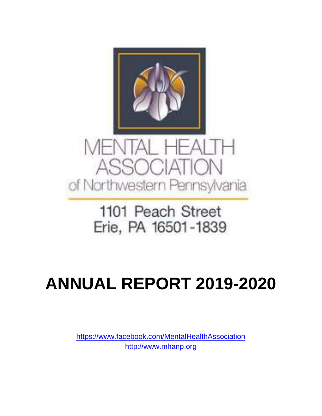

# ASSOCIATION of Northwestern Pennsylvania

## 1101 Peach Street Erie, PA 16501-1839

## **ANNUAL REPORT 2019-2020**

<https://www.facebook.com/MentalHealthAssociation> [http://www.mhanp.org](http://www.mhanp.org/)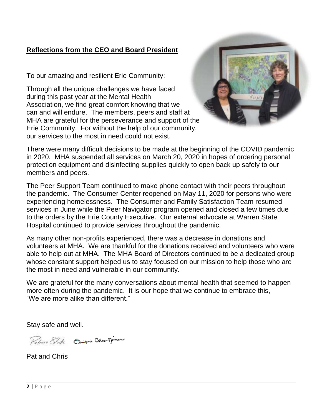#### **Reflections from the CEO and Board President**

To our amazing and resilient Erie Community:

Through all the unique challenges we have faced during this past year at the Mental Health Association, we find great comfort knowing that we can and will endure. The members, peers and staff at MHA are grateful for the perseverance and support of the Erie Community. For without the help of our community, our services to the most in need could not exist.



There were many difficult decisions to be made at the beginning of the COVID pandemic in 2020. MHA suspended all services on March 20, 2020 in hopes of ordering personal protection equipment and disinfecting supplies quickly to open back up safely to our members and peers.

The Peer Support Team continued to make phone contact with their peers throughout the pandemic. The Consumer Center reopened on May 11, 2020 for persons who were experiencing homelessness. The Consumer and Family Satisfaction Team resumed services in June while the Peer Navigator program opened and closed a few times due to the orders by the Erie County Executive. Our external advocate at Warren State Hospital continued to provide services throughout the pandemic.

As many other non-profits experienced, there was a decrease in donations and volunteers at MHA. We are thankful for the donations received and volunteers who were able to help out at MHA. The MHA Board of Directors continued to be a dedicated group whose constant support helped us to stay focused on our mission to help those who are the most in need and vulnerable in our community.

We are grateful for the many conversations about mental health that seemed to happen more often during the pandemic. It is our hope that we continue to embrace this, "We are more alike than different."

Stay safe and well.

Potras Stoke Chiefine Chao Dinner

Pat and Chris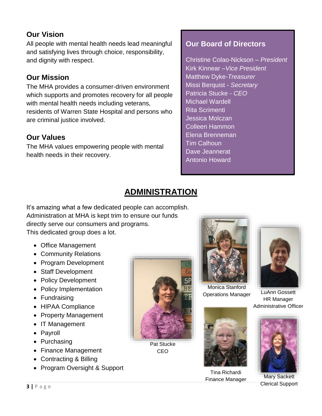#### **Our Vision**

All people with mental health needs lead meaningful and satisfying lives through choice, responsibility, and dignity with respect.

### **Our Mission**

The MHA provides a consumer-driven environment which supports and promotes recovery for all people with mental health needs including veterans, residents of Warren State Hospital and persons who are criminal justice involved.

#### **Our Values**

The MHA values empowering people with mental health needs in their recovery.

## **Our Board of Directors**

Christine Colao-Nickson – *President* Kirk Kinnear –*Vice President* Matthew Dyke-*Treasurer* Missi Berquist - *Secretary* Patricia Stucke - *CEO*  Michael Wardell Rita Scrimenti Jessica Molczan Colleen Hammon Elena Brenneman Tim Calhoun Dave Jeannerat Antonio Howard

## **ADMINISTRATION**

It's amazing what a few dedicated people can accomplish. Administration at MHA is kept trim to ensure our funds directly serve our consumers and programs. This dedicated group does a lot.

- Office Management
- Community Relations
- Program Development
- Staff Development
- Policy Development
- Policy Implementation
- Fundraising
- HIPAA Compliance
- Property Management
- IT Management
- Payroll
- Purchasing
- Finance Management
- Contracting & Billing
- Program Oversight & Support



Pat Stucke CEO



Monica Stanford Operations Manager



Tina Richardi Finance Manager Mary Sackett



LuAnn Gossett HR Manager Administrative Officer



Clerical Support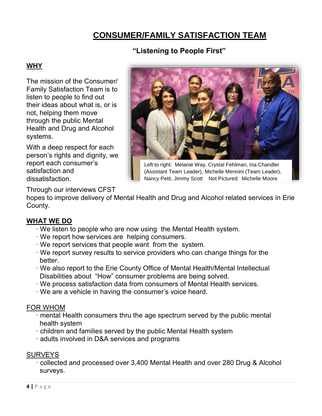## **CONSUMER/FAMILY SATISFACTION TEAM**

#### **"Listening to People First"**

#### **WHY**

The mission of the Consumer/ Family Satisfaction Team is to listen to people to find out their ideas about what is, or is not, helping them move through the public Mental Health and Drug and Alcohol systems.

With a deep respect for each person's rights and dignity, we report each consumer's satisfaction and dissatisfaction.



Left to right: Melanie Way, Crystal Fehlman, Ina Chandler (Assistant Team Leader), Michelle Mennini (Team Leader), Nancy Petti, Jimmy Scott Not Pictured: Michelle Moore

Through our interviews CFST

hopes to improve delivery of Mental Health and Drug and Alcohol related services in Erie County.

#### **WHAT WE DO**

- · We listen to people who are now using the Mental Health system.
- · We report how services are helping consumers.
- · We report services that people want from the system.
- · We report survey results to service providers who can change things for the better.
- · We also report to the Erie County Office of Mental Health/Mental Intellectual Disabilities about "How" consumer problems are being solved.
- · We process satisfaction data from consumers of Mental Health services.
- · We are a vehicle in having the consumer's voice heard.

#### FOR WHOM

- · mental Health consumers thru the age spectrum served by the public mental health system
- · children and families served by the public Mental Health system
- · adults involved in D&A services and programs

#### **SURVEYS**

· collected and processed over 3,400 Mental Health and over 280 Drug & Alcohol surveys.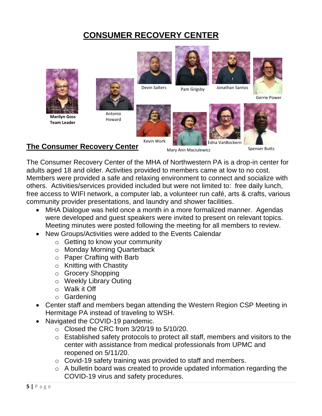## **CONSUMER RECOVERY CENTER**



#### **The Consumer Recovery Center**

Mary Ann Maciulewicz

Spenser Butts

The Consumer Recovery Center of the MHA of Northwestern PA is a drop-in center for adults aged 18 and older. Activities provided to members came at low to no cost. Members were provided a safe and relaxing environment to connect and socialize with others. Activities/services provided included but were not limited to: free daily lunch, free access to WIFI network, a computer lab, a volunteer run café, arts & crafts, various community provider presentations, and laundry and shower facilities.

- MHA Dialogue was held once a month in a more formalized manner. Agendas were developed and guest speakers were invited to present on relevant topics. Meeting minutes were posted following the meeting for all members to review.
- New Groups/Activities were added to the Events Calendar
	- $\circ$  Getting to know your community
	- o Monday Morning Quarterback
	- o Paper Crafting with Barb
	- $\circ$  Knitting with Chastity
	- o Grocery Shopping
	- o Weekly Library Outing
	- o Walk it Off
	- o Gardening
- Center staff and members began attending the Western Region CSP Meeting in Hermitage PA instead of traveling to WSH.
- Navigated the COVID-19 pandemic.
	- $\circ$  Closed the CRC from 3/20/19 to 5/10/20.
	- o Established safety protocols to protect all staff, members and visitors to the center with assistance from medical professionals from UPMC and reopened on 5/11/20.
	- o Covid-19 safety training was provided to staff and members.
	- o A bulletin board was created to provide updated information regarding the COVID-19 virus and safety procedures.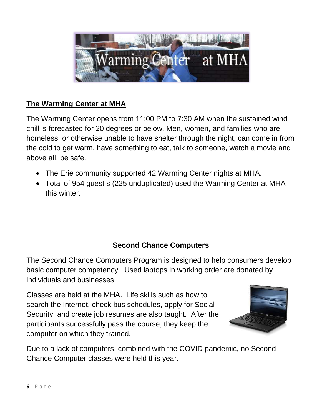

## **The Warming Center at MHA**

The Warming Center opens from 11:00 PM to 7:30 AM when the sustained wind chill is forecasted for 20 degrees or below. Men, women, and families who are homeless, or otherwise unable to have shelter through the night, can come in from the cold to get warm, have something to eat, talk to someone, watch a movie and above all, be safe.

- The Erie community supported 42 Warming Center nights at MHA.
- Total of 954 guest s (225 unduplicated) used the Warming Center at MHA this winter.

## **Second Chance Computers**

The Second Chance Computers Program is designed to help consumers develop basic computer competency. Used laptops in working order are donated by individuals and businesses.

Classes are held at the MHA. Life skills such as how to search the Internet, check bus schedules, apply for Social Security, and create job resumes are also taught. After the participants successfully pass the course, they keep the computer on which they trained.



Due to a lack of computers, combined with the COVID pandemic, no Second Chance Computer classes were held this year.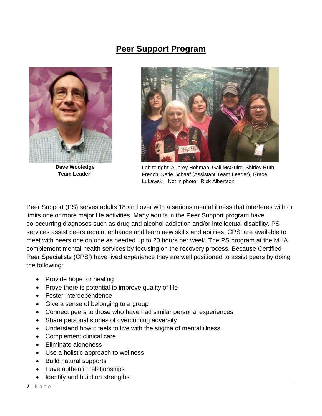## **Peer Support Program**



**Dave Wooledge Team Leader**



Left to right: Aubrey Hohman, Gail McGuire, Shirley Ruth French, Katie Schaaf (Assistant Team Leader), Grace Lukawski Not in photo: Rick Albertson

Peer Support (PS) serves adults 18 and over with a serious mental illness that interferes with or limits one or more major life activities. Many adults in the Peer Support program have co-occurring diagnoses such as drug and alcohol addiction and/or intellectual disability. PS services assist peers regain, enhance and learn new skills and abilities. CPS' are available to meet with peers one on one as needed up to 20 hours per week. The PS program at the MHA complement mental health services by focusing on the recovery process. Because Certified Peer Specialists (CPS') have lived experience they are well positioned to assist peers by doing the following:

- Provide hope for healing
- Prove there is potential to improve quality of life
- Foster interdependence
- Give a sense of belonging to a group
- Connect peers to those who have had similar personal experiences
- Share personal stories of overcoming adversity
- Understand how it feels to live with the stigma of mental illness
- Complement clinical care
- Eliminate aloneness
- Use a holistic approach to wellness
- Build natural supports
- Have authentic relationships
- Identify and build on strengths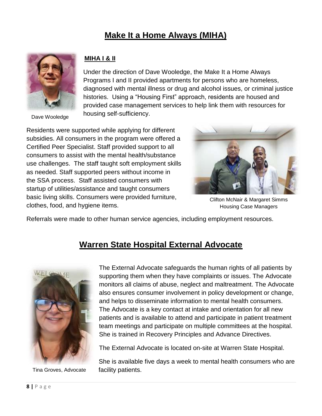## **Make It a Home Always (MIHA)**



Dave Wooledge

#### **MIHA I & II**

Under the direction of Dave Wooledge, the Make It a Home Always Programs I and II provided apartments for persons who are homeless, diagnosed with mental illness or drug and alcohol issues, or criminal justice histories. Using a "Housing First" approach, residents are housed and provided case management services to help link them with resources for housing self-sufficiency.

Residents were supported while applying for different subsidies. All consumers in the program were offered a Certified Peer Specialist. Staff provided support to all consumers to assist with the mental health/substance use challenges. The staff taught soft employment skills as needed. Staff supported peers without income in the SSA process. Staff assisted consumers with startup of utilities/assistance and taught consumers basic living skills. Consumers were provided furniture, clothes, food, and hygiene items.



Clifton McNair & Margaret Simms Housing Case Managers

Referrals were made to other human service agencies, including employment resources.

## **Warren State Hospital External Advocate**



Tina Groves, Advocate

The External Advocate safeguards the human rights of all patients by supporting them when they have complaints or issues. The Advocate monitors all claims of abuse, neglect and maltreatment. The Advocate also ensures consumer involvement in policy development or change, and helps to disseminate information to mental health consumers. The Advocate is a key contact at intake and orientation for all new patients and is available to attend and participate in patient treatment team meetings and participate on multiple committees at the hospital. She is trained in Recovery Principles and Advance Directives.

The External Advocate is located on-site at Warren State Hospital.

She is available five days a week to mental health consumers who are facility patients.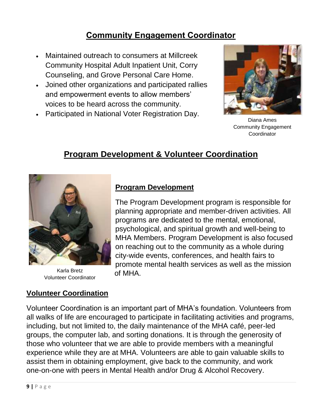## **Community Engagement Coordinator**

- Maintained outreach to consumers at Millcreek Community Hospital Adult Inpatient Unit, Corry Counseling, and Grove Personal Care Home.
- Joined other organizations and participated rallies and empowerment events to allow members' voices to be heard across the community.
- Participated in National Voter Registration Day.



Diana Ames Community Engagement **Coordinator** 

## **Program Development & Volunteer Coordination**



Karla Bretz **of MHA.**<br>Volunteer Coordinator **only and D** Karla Bretz

#### **Volunteer Coordination**

### **Program Development**

The Program Development program is responsible for planning appropriate and member-driven activities. All programs are dedicated to the mental, emotional, psychological, and spiritual growth and well-being to MHA Members. Program Development is also focused on reaching out to the community as a whole during city-wide events, conferences, and health fairs to promote mental health services as well as the mission

Volunteer Coordination is an important part of MHA's foundation. Volunteers from all walks of life are encouraged to participate in facilitating activities and programs, including, but not limited to, the daily maintenance of the MHA café, peer-led groups, the computer lab, and sorting donations. It is through the generosity of those who volunteer that we are able to provide members with a meaningful experience while they are at MHA. Volunteers are able to gain valuable skills to assist them in obtaining employment, give back to the community, and work one-on-one with peers in Mental Health and/or Drug & Alcohol Recovery.